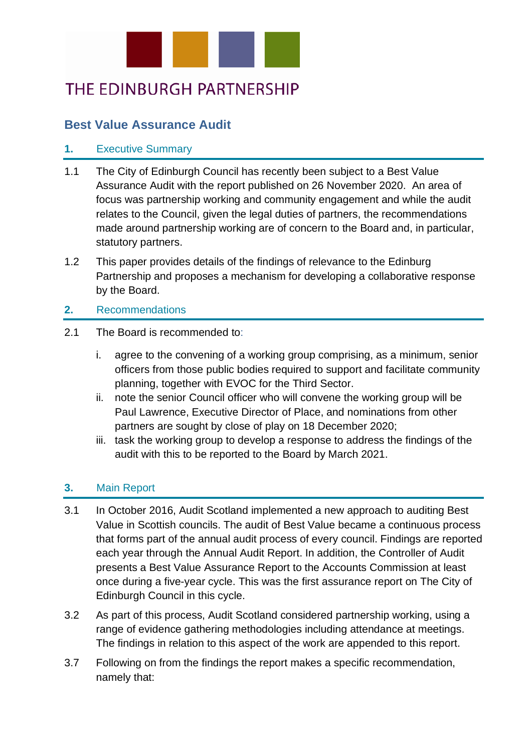

## THE EDINBURGH PARTNERSHIP

## **Best Value Assurance Audit**

## **1.** Executive Summary

- 1.1 The City of Edinburgh Council has recently been subject to a Best Value Assurance Audit with the report published on 26 November 2020. An area of focus was partnership working and community engagement and while the audit relates to the Council, given the legal duties of partners, the recommendations made around partnership working are of concern to the Board and, in particular, statutory partners.
- 1.2 This paper provides details of the findings of relevance to the Edinburg Partnership and proposes a mechanism for developing a collaborative response by the Board.

## **2.** Recommendations

- 2.1 The Board is recommended to:
	- i. agree to the convening of a working group comprising, as a minimum, senior officers from those public bodies required to support and facilitate community planning, together with EVOC for the Third Sector.
	- ii. note the senior Council officer who will convene the working group will be Paul Lawrence, Executive Director of Place, and nominations from other partners are sought by close of play on 18 December 2020;
	- iii. task the working group to develop a response to address the findings of the audit with this to be reported to the Board by March 2021.

## **3.** Main Report

- 3.1 In October 2016, Audit Scotland implemented a new approach to auditing Best Value in Scottish councils. The audit of Best Value became a continuous process that forms part of the annual audit process of every council. Findings are reported each year through the Annual Audit Report. In addition, the Controller of Audit presents a Best Value Assurance Report to the Accounts Commission at least once during a five-year cycle. This was the first assurance report on The City of Edinburgh Council in this cycle.
- 3.2 As part of this process, Audit Scotland considered partnership working, using a range of evidence gathering methodologies including attendance at meetings. The findings in relation to this aspect of the work are appended to this report.
- 3.7 Following on from the findings the report makes a specific recommendation, namely that: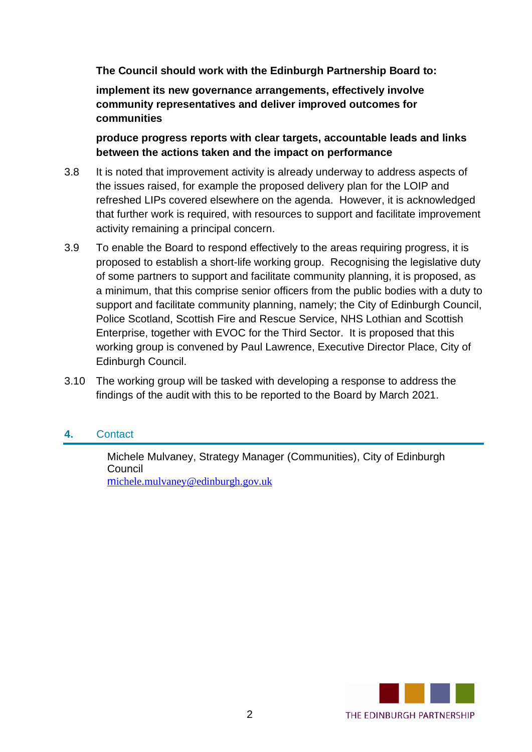**The Council should work with the Edinburgh Partnership Board to:**

**implement its new governance arrangements, effectively involve community representatives and deliver improved outcomes for communities**

**produce progress reports with clear targets, accountable leads and links between the actions taken and the impact on performance**

- 3.8 It is noted that improvement activity is already underway to address aspects of the issues raised, for example the proposed delivery plan for the LOIP and refreshed LIPs covered elsewhere on the agenda. However, it is acknowledged that further work is required, with resources to support and facilitate improvement activity remaining a principal concern.
- 3.9 To enable the Board to respond effectively to the areas requiring progress, it is proposed to establish a short-life working group. Recognising the legislative duty of some partners to support and facilitate community planning, it is proposed, as a minimum, that this comprise senior officers from the public bodies with a duty to support and facilitate community planning, namely; the City of Edinburgh Council, Police Scotland, Scottish Fire and Rescue Service, NHS Lothian and Scottish Enterprise, together with EVOC for the Third Sector. It is proposed that this working group is convened by Paul Lawrence, Executive Director Place, City of Edinburgh Council.
- 3.10 The working group will be tasked with developing a response to address the findings of the audit with this to be reported to the Board by March 2021.

## **4.** Contact

Michele Mulvaney, Strategy Manager (Communities), City of Edinburgh Council m[ichele.mulvaney@edinburgh.](mailto:Michele.mulvaney@edinburgh.gov.uk)gov.uk

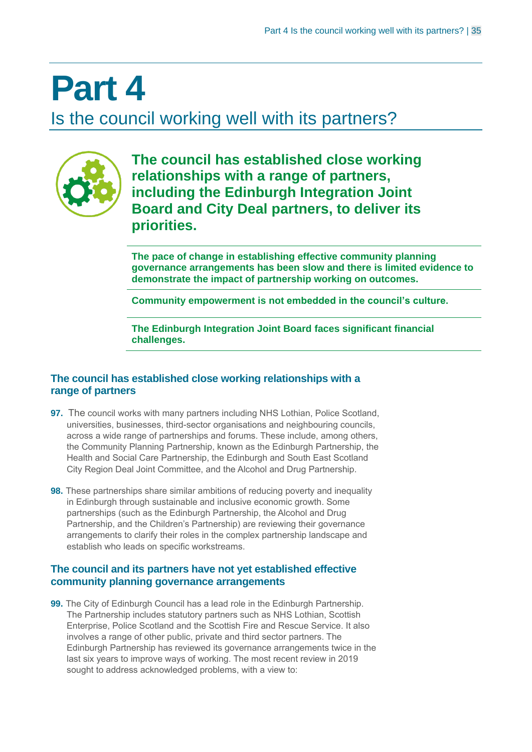# **Part 4**

Is the council working well with its partners?



**The council has established close working relationships with a range of partners, including the Edinburgh Integration Joint Board and City Deal partners, to deliver its priorities.**

**The pace of change in establishing effective community planning governance arrangements has been slow and there is limited evidence to demonstrate the impact of partnership working on outcomes.**

**Community empowerment is not embedded in the council's culture.**

**The Edinburgh Integration Joint Board faces significant financial challenges.**

## **The council has established close working relationships with a range of partners**

- **97.** The council works with many partners including NHS Lothian, Police Scotland, universities, businesses, third-sector organisations and neighbouring councils, across a wide range of partnerships and forums. These include, among others, the Community Planning Partnership, known as the Edinburgh Partnership, the Health and Social Care Partnership, the Edinburgh and South East Scotland City Region Deal Joint Committee, and the Alcohol and Drug Partnership.
- **98.** These partnerships share similar ambitions of reducing poverty and inequality in Edinburgh through sustainable and inclusive economic growth. Some partnerships (such as the Edinburgh Partnership, the Alcohol and Drug Partnership, and the Children's Partnership) are reviewing their governance arrangements to clarify their roles in the complex partnership landscape and establish who leads on specific workstreams.

### **The council and its partners have not yet established effective community planning governance arrangements**

**99.** The City of Edinburgh Council has a lead role in the Edinburgh Partnership. The Partnership includes statutory partners such as NHS Lothian, Scottish Enterprise, Police Scotland and the Scottish Fire and Rescue Service. It also involves a range of other public, private and third sector partners. The Edinburgh Partnership has reviewed its governance arrangements twice in the last six years to improve ways of working. The most recent review in 2019 sought to address acknowledged problems, with a view to: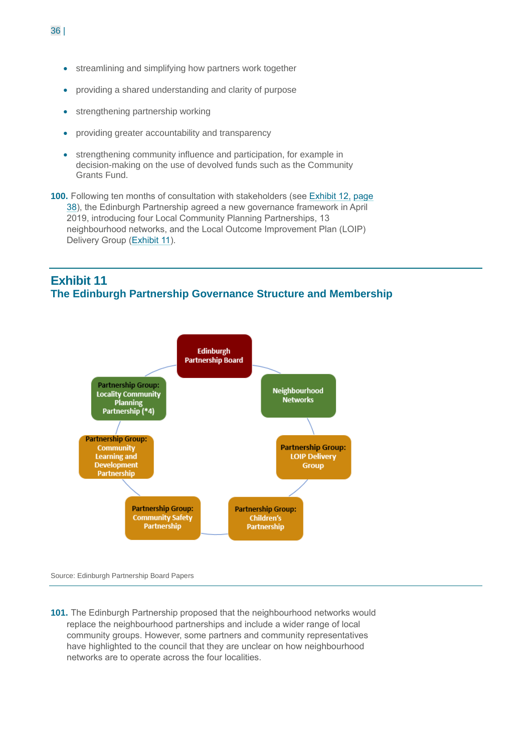- streamlining and simplifying how partners work together
- providing a shared understanding and clarity of purpose
- strengthening partnership working
- providing greater accountability and transparency
- strengthening community influence and participation, for example in decision-making on the use of devolved funds such as the Community Grants Fund.
- **100.** Following ten months of consultation with stakeholders (see Exhibit 12, page 38), the Edinburgh Partnership agreed a new governance framework in April 2019, introducing four Local Community Planning Partnerships, 13 neighbourhood networks, and the Local Outcome Improvement Plan (LOIP) Delivery Group (Exhibit 11).

## **Exhibit 11 The Edinburgh Partnership Governance Structure and Membership**



Source: Edinburgh Partnership Board Papers

**101.** The Edinburgh Partnership proposed that the neighbourhood networks would replace the neighbourhood partnerships and include a wider range of local community groups. However, some partners and community representatives have highlighted to the council that they are unclear on how neighbourhood networks are to operate across the four localities.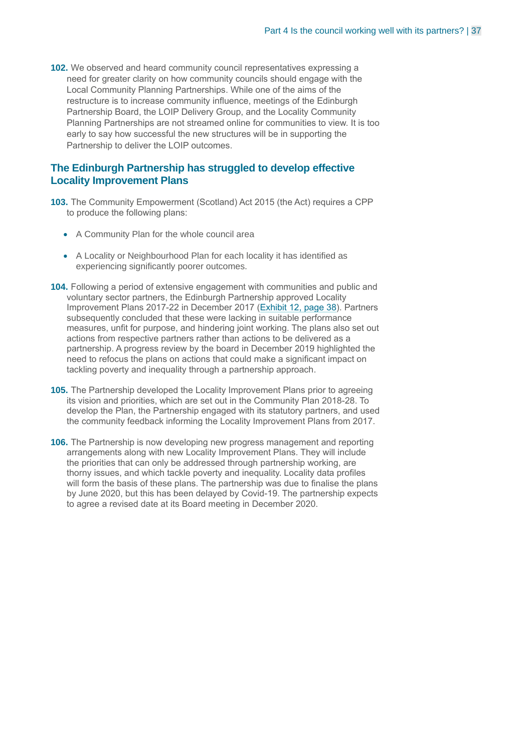**102.** We observed and heard community council representatives expressing a need for greater clarity on how community councils should engage with the Local Community Planning Partnerships. While one of the aims of the restructure is to increase community influence, meetings of the Edinburgh Partnership Board, the LOIP Delivery Group, and the Locality Community Planning Partnerships are not streamed online for communities to view. It is too early to say how successful the new structures will be in supporting the Partnership to deliver the LOIP outcomes.

#### **The Edinburgh Partnership has struggled to develop effective Locality Improvement Plans**

- **103.** The Community Empowerment (Scotland) Act 2015 (the Act) requires a CPP to produce the following plans:
	- A Community Plan for the whole council area
	- A Locality or Neighbourhood Plan for each locality it has identified as experiencing significantly poorer outcomes.
- **104.** Following a period of extensive engagement with communities and public and voluntary sector partners, the Edinburgh Partnership approved Locality Improvement Plans 2017-22 in December 2017 (Exhibit 12, page 38). Partners subsequently concluded that these were lacking in suitable performance measures, unfit for purpose, and hindering joint working. The plans also set out actions from respective partners rather than actions to be delivered as a partnership. A progress review by the board in December 2019 highlighted the need to refocus the plans on actions that could make a significant impact on tackling poverty and inequality through a partnership approach.
- **105.** The Partnership developed the Locality Improvement Plans prior to agreeing its vision and priorities, which are set out in the Community Plan 2018-28. To develop the Plan, the Partnership engaged with its statutory partners, and used the community feedback informing the Locality Improvement Plans from 2017.
- **106.** The Partnership is now developing new progress management and reporting arrangements along with new Locality Improvement Plans. They will include the priorities that can only be addressed through partnership working, are thorny issues, and which tackle poverty and inequality. Locality data profiles will form the basis of these plans. The partnership was due to finalise the plans by June 2020, but this has been delayed by Covid-19. The partnership expects to agree a revised date at its Board meeting in December 2020.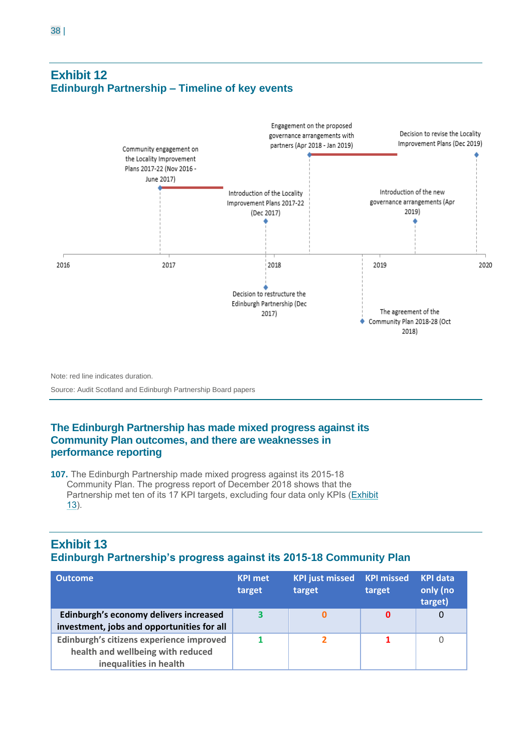## **Exhibit 12 Edinburgh Partnership – Timeline of key events**



Note: red line indicates duration.

Source: Audit Scotland and Edinburgh Partnership Board papers

## **The Edinburgh Partnership has made mixed progress against its Community Plan outcomes, and there are weaknesses in performance reporting**

**107.** The Edinburgh Partnership made mixed progress against its 2015-18 Community Plan. The progress report of December 2018 shows that the Partnership met ten of its 17 KPI targets, excluding four data only KPIs (Exhibit 13).

## **Exhibit 13 Edinburgh Partnership's progress against its 2015-18 Community Plan**

| Outcome                                                                                                 | <b>KPI met</b><br>target | <b>KPI just missed</b><br>target | <b>KPI missed</b><br>target | <b>KPI data</b><br>only (no<br>target) |
|---------------------------------------------------------------------------------------------------------|--------------------------|----------------------------------|-----------------------------|----------------------------------------|
| Edinburgh's economy delivers increased<br>investment, jobs and opportunities for all                    | 3                        |                                  | 0                           |                                        |
| Edinburgh's citizens experience improved<br>health and wellbeing with reduced<br>inequalities in health |                          |                                  |                             |                                        |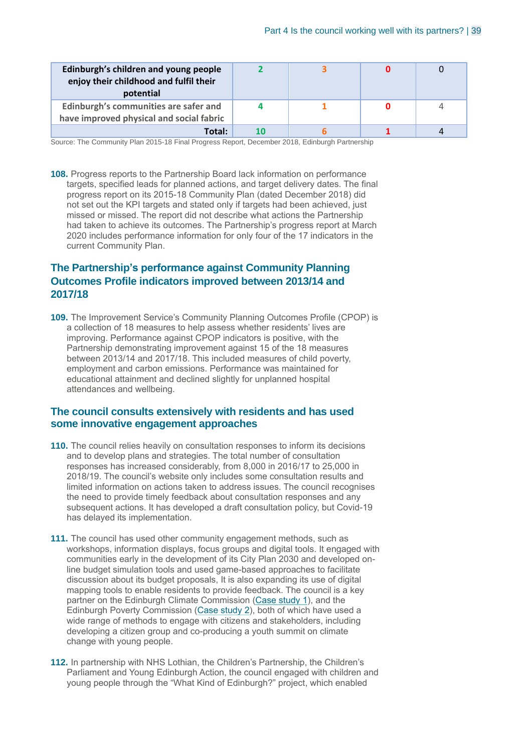| Edinburgh's children and young people<br>enjoy their childhood and fulfil their<br>potential |  |  |
|----------------------------------------------------------------------------------------------|--|--|
| Edinburgh's communities are safer and<br>have improved physical and social fabric            |  |  |
| Total:                                                                                       |  |  |

Source: The Community Plan 2015-18 Final Progress Report, December 2018, Edinburgh Partnership

**108.** Progress reports to the Partnership Board lack information on performance targets, specified leads for planned actions, and target delivery dates. The final progress report on its 2015-18 Community Plan (dated December 2018) did not set out the KPI targets and stated only if targets had been achieved, just missed or missed. The report did not describe what actions the Partnership had taken to achieve its outcomes. The Partnership's progress report at March 2020 includes performance information for only four of the 17 indicators in the current Community Plan.

## **The Partnership's performance against Community Planning Outcomes Profile indicators improved between 2013/14 and 2017/18**

**109.** The Improvement Service's Community Planning Outcomes Profile (CPOP) is a collection of 18 measures to help assess whether residents' lives are improving. Performance against CPOP indicators is positive, with the Partnership demonstrating improvement against 15 of the 18 measures between 2013/14 and 2017/18. This included measures of child poverty, employment and carbon emissions. Performance was maintained for educational attainment and declined slightly for unplanned hospital attendances and wellbeing.

#### **The council consults extensively with residents and has used some innovative engagement approaches**

- **110.** The council relies heavily on consultation responses to inform its decisions and to develop plans and strategies. The total number of consultation responses has increased considerably, from 8,000 in 2016/17 to 25,000 in 2018/19. The council's website only includes some consultation results and limited information on actions taken to address issues. The council recognises the need to provide timely feedback about consultation responses and any subsequent actions. It has developed a draft consultation policy, but Covid-19 has delayed its implementation.
- **111.** The council has used other community engagement methods, such as workshops, information displays, focus groups and digital tools. It engaged with communities early in the development of its City Plan 2030 and developed online budget simulation tools and used game-based approaches to facilitate discussion about its budget proposals, It is also expanding its use of digital mapping tools to enable residents to provide feedback. The council is a key partner on the Edinburgh Climate Commission (Case study 1), and the Edinburgh Poverty Commission (Case study 2), both of which have used a wide range of methods to engage with citizens and stakeholders, including developing a citizen group and co-producing a youth summit on climate change with young people.
- **112.** In partnership with NHS Lothian, the Children's Partnership, the Children's Parliament and Young Edinburgh Action, the council engaged with children and young people through the "What Kind of Edinburgh?" project, which enabled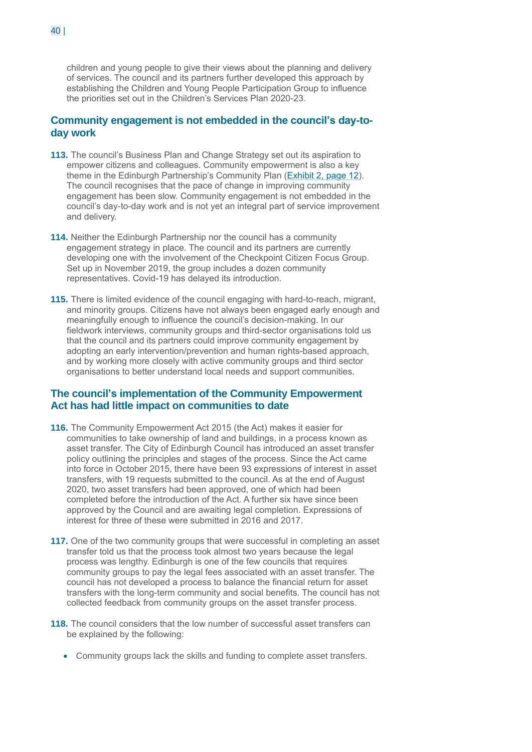children and young people to give their views about the planning and delivery of services. The council and its partners further developed this approach by establishing the Children and Young People Participation Group to influence the priorities set out in the Children's Services Plan 2020-23.

#### **Community engagement is not embedded in the council's day-today work**

- **113.** The council's Business Plan and Change Strategy set out its aspiration to empower citizens and colleagues. Community empowerment is also a key theme in the Edinburgh Partnership's Community Plan (Exhibit 2, page 12). The council recognises that the pace of change in improving community engagement has been slow. Community engagement is not embedded in the council's day-to-day work and is not yet an integral part of service improvement and delivery.
- **114.** Neither the Edinburgh Partnership nor the council has a community engagement strategy in place. The council and its partners are currently developing one with the involvement of the Checkpoint Citizen Focus Group. Set up in November 2019, the group includes a dozen community representatives. Covid-19 has delayed its introduction.
- **115.** There is limited evidence of the council engaging with hard-to-reach, migrant, and minority groups. Citizens have not always been engaged early enough and meaningfully enough to influence the council's decision-making. In our fieldwork interviews, community groups and third-sector organisations told us that the council and its partners could improve community engagement by adopting an early intervention/prevention and human rights-based approach, and by working more closely with active community groups and third sector organisations to better understand local needs and support communities.

### **The council's implementation of the Community Empowerment Act has had little impact on communities to date**

- **116.** The Community Empowerment Act 2015 (the Act) makes it easier for communities to take ownership of land and buildings, in a process known as asset transfer. The City of Edinburgh Council has introduced an asset transfer policy outlining the principles and stages of the process. Since the Act came into force in October 2015, there have been 93 expressions of interest in asset transfers, with 19 requests submitted to the council. As at the end of August 2020, two asset transfers had been approved, one of which had been completed before the introduction of the Act. A further six have since been approved by the Council and are awaiting legal completion. Expressions of interest for three of these were submitted in 2016 and 2017.
- **117.** One of the two community groups that were successful in completing an asset transfer told us that the process took almost two years because the legal process was lengthy. Edinburgh is one of the few councils that requires community groups to pay the legal fees associated with an asset transfer. The council has not developed a process to balance the financial return for asset transfers with the long-term community and social benefits. The council has not collected feedback from community groups on the asset transfer process.
- **118.** The council considers that the low number of successful asset transfers can be explained by the following:
	- Community groups lack the skills and funding to complete asset transfers.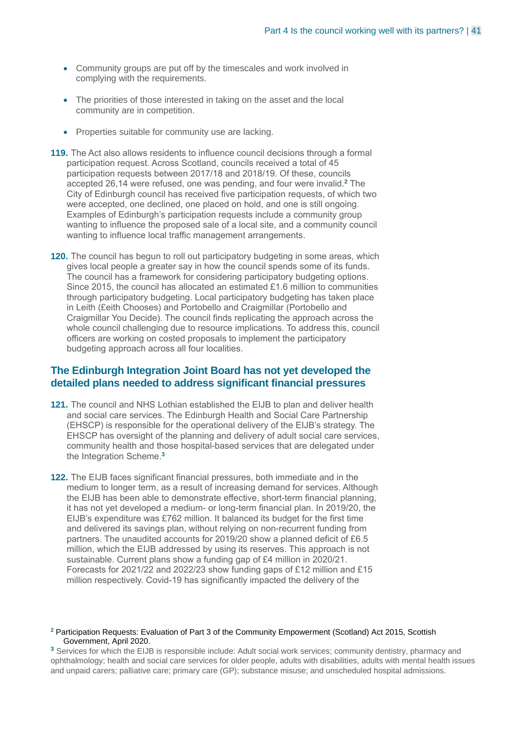- Community groups are put off by the timescales and work involved in complying with the requirements.
- The priorities of those interested in taking on the asset and the local community are in competition.
- Properties suitable for community use are lacking.
- **119.** The Act also allows residents to influence council decisions through a formal participation request. Across Scotland, councils received a total of 45 participation requests between 2017/18 and 2018/19. Of these, councils accepted 26,14 were refused, one was pending, and four were invalid. **<sup>2</sup>** The City of Edinburgh council has received five participation requests, of which two were accepted, one declined, one placed on hold, and one is still ongoing. Examples of Edinburgh's participation requests include a community group wanting to influence the proposed sale of a local site, and a community council wanting to influence local traffic management arrangements.
- **120.** The council has begun to roll out participatory budgeting in some areas, which gives local people a greater say in how the council spends some of its funds. The council has a framework for considering participatory budgeting options. Since 2015, the council has allocated an estimated £1.6 million to communities through participatory budgeting. Local participatory budgeting has taken place in Leith (£eith Chooses) and Portobello and Craigmillar (Portobello and Craigmillar You Decide). The council finds replicating the approach across the whole council challenging due to resource implications. To address this, council officers are working on costed proposals to implement the participatory budgeting approach across all four localities.

#### **The Edinburgh Integration Joint Board has not yet developed the detailed plans needed to address significant financial pressures**

- **121.** The council and NHS Lothian established the EIJB to plan and deliver health and social care services. The Edinburgh Health and Social Care Partnership (EHSCP) is responsible for the operational delivery of the EIJB's strategy. The EHSCP has oversight of the planning and delivery of adult social care services, community health and those hospital-based services that are delegated under the Integration Scheme.**<sup>3</sup>**
- **122.** The EIJB faces significant financial pressures, both immediate and in the medium to longer term, as a result of increasing demand for services. Although the EIJB has been able to demonstrate effective, short-term financial planning, it has not yet developed a medium- or long-term financial plan. In 2019/20, the EIJB's expenditure was £762 million. It balanced its budget for the first time and delivered its savings plan, without relying on non-recurrent funding from partners. The unaudited accounts for 2019/20 show a planned deficit of £6.5 million, which the EIJB addressed by using its reserves. This approach is not sustainable. Current plans show a funding gap of £4 million in 2020/21. Forecasts for 2021/22 and 2022/23 show funding gaps of £12 million and £15 million respectively. Covid-19 has significantly impacted the delivery of the

#### **<sup>2</sup>** Participation Requests: Evaluation of Part 3 of the Community Empowerment (Scotland) Act 2015, Scottish Government, April 2020.

**<sup>3</sup>** Services for which the EIJB is responsible include: Adult social work services; community dentistry, pharmacy and ophthalmology; health and social care services for older people, adults with disabilities, adults with mental health issues and unpaid carers; palliative care; primary care (GP); substance misuse; and unscheduled hospital admissions.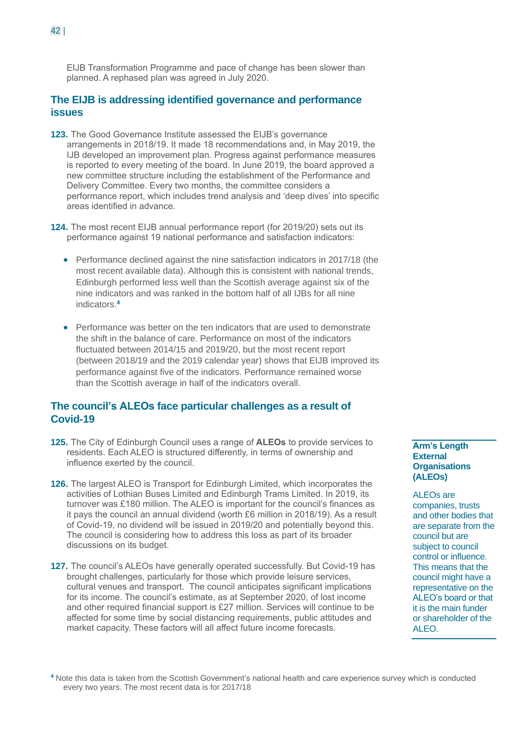EIJB Transformation Programme and pace of change has been slower than planned. A rephased plan was agreed in July 2020.

#### **The EIJB is addressing identified governance and performance issues**

- **123.** The Good Governance Institute assessed the EIJB's governance arrangements in 2018/19. It made 18 recommendations and, in May 2019, the IJB developed an improvement plan. Progress against performance measures is reported to every meeting of the board. In June 2019, the board approved a new committee structure including the establishment of the Performance and Delivery Committee. Every two months, the committee considers a performance report, which includes trend analysis and 'deep dives' into specific areas identified in advance.
- **124.** The most recent EIJB annual performance report (for 2019/20) sets out its performance against 19 national performance and satisfaction indicators:
	- Performance declined against the nine satisfaction indicators in 2017/18 (the most recent available data). Although this is consistent with national trends, Edinburgh performed less well than the Scottish average against six of the nine indicators and was ranked in the bottom half of all IJBs for all nine indicators. **4**
	- Performance was better on the ten indicators that are used to demonstrate the shift in the balance of care. Performance on most of the indicators fluctuated between 2014/15 and 2019/20, but the most recent report (between 2018/19 and the 2019 calendar year) shows that EIJB improved its performance against five of the indicators. Performance remained worse than the Scottish average in half of the indicators overall.

## **The council's ALEOs face particular challenges as a result of Covid-19**

- **125.** The City of Edinburgh Council uses a range of **ALEOs** to provide services to residents. Each ALEO is structured differently, in terms of ownership and influence exerted by the council.
- **126.** The largest ALEO is Transport for Edinburgh Limited, which incorporates the activities of Lothian Buses Limited and Edinburgh Trams Limited. In 2019, its turnover was £180 million. The ALEO is important for the council's finances as it pays the council an annual dividend (worth £6 million in 2018/19). As a result of Covid-19, no dividend will be issued in 2019/20 and potentially beyond this. The council is considering how to address this loss as part of its broader discussions on its budget.
- **127.** The council's ALEOs have generally operated successfully. But Covid-19 has brought challenges, particularly for those which provide leisure services, cultural venues and transport. The council anticipates significant implications for its income. The council's estimate, as at September 2020, of lost income and other required financial support is £27 million. Services will continue to be affected for some time by social distancing requirements, public attitudes and market capacity. These factors will all affect future income forecasts.

**Arm's Length External Organisations (ALEOs)** 

ALEOs are companies, trusts and other bodies that are separate from the council but are subject to council control or influence. This means that the council might have a representative on the ALEO's board or that it is the main funder or shareholder of the ALEO.

**<sup>4</sup>** Note this data is taken from the Scottish Government's national health and care experience survey which is conducted every two years. The most recent data is for 2017/18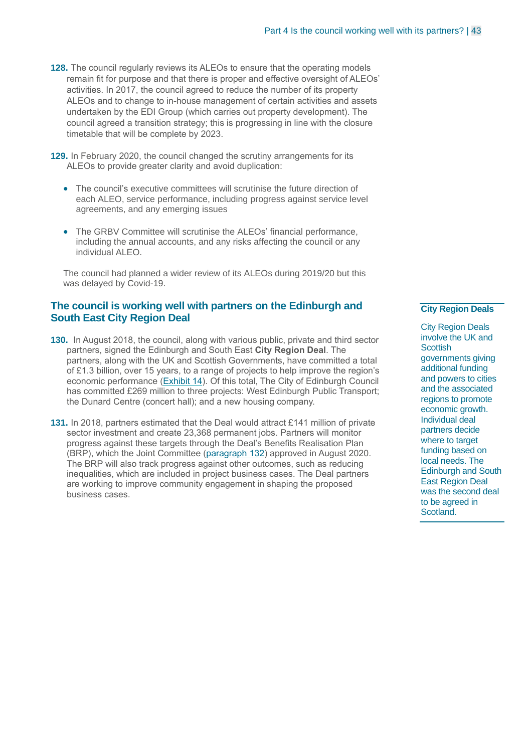- **128.** The council regularly reviews its ALEOs to ensure that the operating models remain fit for purpose and that there is proper and effective oversight of ALEOs' activities. In 2017, the council agreed to reduce the number of its property ALEOs and to change to in-house management of certain activities and assets undertaken by the EDI Group (which carries out property development). The council agreed a transition strategy; this is progressing in line with the closure timetable that will be complete by 2023.
- **129.** In February 2020, the council changed the scrutiny arrangements for its ALEOs to provide greater clarity and avoid duplication:
	- The council's executive committees will scrutinise the future direction of each ALEO, service performance, including progress against service level agreements, and any emerging issues
	- The GRBV Committee will scrutinise the ALEOs' financial performance, including the annual accounts, and any risks affecting the council or any individual ALEO.

The council had planned a wider review of its ALEOs during 2019/20 but this was delayed by Covid-19.

#### **The council is working well with partners on the Edinburgh and South East City Region Deal**

- **130.** In August 2018, the council, along with various public, private and third sector partners, signed the Edinburgh and South East **City Region Deal**. The partners, along with the UK and Scottish Governments, have committed a total of £1.3 billion, over 15 years, to a range of projects to help improve the region's economic performance (Exhibit 14). Of this total, The City of Edinburgh Council has committed £269 million to three projects: West Edinburgh Public Transport; the Dunard Centre (concert hall); and a new housing company.
- **131.** In 2018, partners estimated that the Deal would attract £141 million of private sector investment and create 23,368 permanent jobs. Partners will monitor progress against these targets through the Deal's Benefits Realisation Plan (BRP), which the Joint Committee (paragraph 132) approved in August 2020. The BRP will also track progress against other outcomes, such as reducing inequalities, which are included in project business cases. The Deal partners are working to improve community engagement in shaping the proposed business cases.

#### **City Region Deals**

City Region Deals involve the UK and **Scottish** governments giving additional funding and powers to cities and the associated regions to promote economic growth. Individual deal partners decide where to target funding based on local needs. The Edinburgh and South East Region Deal was the second deal to be agreed in Scotland.